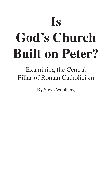# **Is God's Church Built on Peter?**

Examining the Central Pillar of Roman Catholicism

By Steve Wohlberg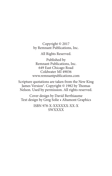Copyright © 2017 by Remnant Publications, Inc.

All Rights Reserved.

Published by Remnant Publications, Inc. 649 East Chicago Road Coldwater MI 49036 www.remnantpublications.com

Scripture quotations are taken from the New King James Version®. Copyright © 1982 by Thomas Nelson. Used by permission. All rights reserved.

Cover design by David Berthiaume Text design by Greg Solie • Altamont Graphics

> ISBN 978-X-XXXXXX-XX-X SWXXXX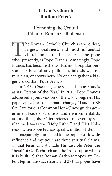# **Is God's Church Built on Peter?**

# Examining the Central Pillar of Roman Catholicism

The Roman Catholic Church is the oldest, largest, wealthiest, and most influential church on earth. Its leader is the pope who, presently, is Pope Francis. Amazingly, Pope largest, wealthiest, and most influential church on earth. Its leader is the pope Francis has become the world's most popular person—far beyond any politician, talk show host, musician, or sports hero. No one can gather a bigger crowd than Pope Francis.

In 2013, *Time* magazine selected Pope Francis as its "Person of the Year." In 2015, Pope Francis addressed a joint session of the U.S. Congress. His papal encyclical on climate change, "Laudato Si: On Care for our Common Home," now guides government leaders, scientists, and environmentalists around the globe. Often referred to—even by secular media—as the "Holy Father" and "His Holiness," when Pope Francis speaks, millions listen.

Inseparably connected to the pope's worldwide influence and mystique are three spiritual claims: 1) that Jesus Christ made His disciple Peter the "head" of God's church and the "rock" upon which it is built, 2) that Roman Catholic popes are Peter's legitimate successors, and 3) that popes have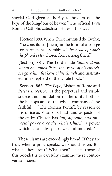special God-given authority as holders of "the keys of the kingdom of heaven." The official 1994 Roman Catholic catechism states it this way:

[Section] **880.** When Christ instituted the Twelve, "he constituted [them] in the form of a college or permanent assembly, *at the head of which he placed Peter,* chosen from among them." <sup>1</sup>

[Section] **881.** The Lord made *Simon alone, whom he named Peter, the "rock" of his church. He gave him the keys of his church* and instituted him shepherd of the whole flock. <sup>2</sup>

[Section] **882.** *The Pope,* Bishop of Rome and *Peter's successor,* "is the perpetual and visible source and foundation of the unity both of the bishops and of the whole company of the faithful." … "The Roman Pontiff, by reason of his office as Vicar of Christ, and as pastor of the entire Church has *full, supreme, and universal power over the whole Church,* a power which he can always exercise unhindered."<sup>3</sup>

These claims are exceedingly broad. If they are true, when a pope speaks, we should listen. But what if they aren't? What then? The purpose of this booklet is to carefully examine these controversial issues.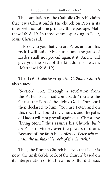The foundation of the Catholic Church's claim that Iesus Christ builds His church on Peter is its interpretation of one primary Bible passage, Matthew 16:18–19. In those verses, speaking to Peter, Jesus Christ said:

I also say to you that you are Peter, and on this rock I will build My church, and the gates of Hades shall not prevail against it. And I will give you the keys of the kingdom of heaven. (Matthew 16:18–19)

The 1994 *Catechism of the Catholic Church* also states:

[Section] **552.** Through a revelation from the Father, Peter had confessed: "You are the Christ, the Son of the living God." Our Lord then declared to him: "You are Peter, and on this rock I will build my Church, and the gates of Hades will not prevail against it." Christ, the "living Stone," thus assures his Church, *built on Peter,* of victory over the powers of death. Because of the faith he confessed *Peter will remain the unshakable rock of the Church.* <sup>4</sup>

Thus, the Roman Church believes that Peter is now "the unshakable rock of the church" based on its interpretation of Matthew 16:18. But did Jesus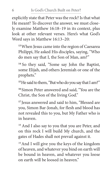explicitly state that Peter was the rock? Is that what He meant? To discover the answer, we must closely examine Matthew 16:18–19 in its context, plus look at other relevant verses. Here's what God's Word says in Matthew 16:13–20:

**<sup>13</sup>**When Jesus came into the region of Caesarea Philippi, He asked His disciples, saying, "Who do men say that I, the Son of Man, am?"

**<sup>14</sup>**So they said, "Some say John the Baptist, some Elijah, and others Jeremiah or one of the prophets."

**<sup>15</sup>**He said to them, "But who do you say that I am?"

**<sup>16</sup>**Simon Peter answered and said, "You are the Christ, the Son of the living God."

**<sup>17</sup>**Jesus answered and said to him, "Blessed are you, Simon Bar-Jonah, for flesh and blood has not revealed this to you, but My Father who is in heaven.

<sup>18</sup> And I also say to you that you are Peter, and on this rock I will build My church, and the gates of Hades shall not prevail against it.

19And I will give you the keys of the kingdom of heaven, and whatever you bind on earth will be bound in heaven, and whatever you loose on earth will be loosed in heaven."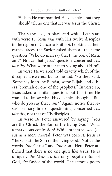**<sup>20</sup>**Then He commanded His disciples that they should tell no one that He was Jesus the Christ.

That's the text, in black and white. Let's start with verse 13. Jesus was with His twelve disciples in the region of Caesarea Philippi. Looking at their earnest faces, the Savior asked them all the same question, "Who do men say that I, the Son of Man, am?" Notice that Jesus' question concerned *His identity.* What were other men saying about Him?

In verse 14, we aren't told exactly which of the disciples answered, but some did. "So they said, 'Some say John the Baptist, some Elijah, and others Jeremiah or one of the prophets.'" In verse 15, Jesus asked a similar question, but this time He wanted to know what His disciples thought. "But who do *you* say that *I am?"* Again, notice that Jesus' primary line of questioning concerned *His identity,* not that of His disciples.

In verse 16, Peter answered by saying, "You are the Christ, the Son of the living God." What a marvelous confession! While others viewed Jesus as a mere mortal, Peter was correct. Jesus is "the Christ, the Son of the living God." Notice the words, *"the* Christ," and *"the* Son." Here Peter affirmed that there is no one quite like Jesus. He is uniquely *the* Messiah, *the* only begotten Son of God, *the* Savior of the world. The famous poem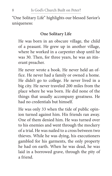"One Solitary Life" highlights our blessed Savior's uniqueness:

# **One Solitary Life**

He was born in an obscure village, the child of a peasant. He grew up in another village, where he worked in a carpenter shop until he was 30. Then, for three years, he was an itinerant preacher.

He never wrote a book. He never held an office. He never had a family or owned a home. He didn't go to college. He never lived in a big city. He never traveled 200 miles from the place where he was born. He did none of the things that usually accompany greatness. He had no credentials but himself.

He was only 33 when the tide of public opinion turned against him. His friends ran away. One of them denied him. He was turned over to his enemies and went through the mockery of a trial. He was nailed to a cross between two thieves. While he was dying, his executioners gambled for his garments, the only property he had on earth. When he was dead, he was laid in a borrowed grave, through the pity of a friend.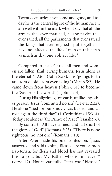Twenty centuries have come and gone, and today he is the central figure of the human race. I am well within the mark when I say that all the armies that ever marched, all the navies that ever sailed, all the parliaments that ever sat, all the kings that ever reigned—put together have not affected the life of man on this earth as much as that one, solitary life. <sup>5</sup>

Compared to Jesus Christ, all men and women are fallen, frail, erring humans. Jesus alone is the eternal "I AM" (John 8:58). His "goings forth are from of old, from everlasting" (Micah 5:2). He came down from heaven (John 6:51) to become the "Savior of the world" (1 John 4:14).

During His pilgrimage on earth, unlike any other person, Jesus "committed no sin" (1 Peter 2:22). He alone "died for our sins … was buried, and … rose again the third day" (1 Corinthians 15:3–4). Today, He alone is "the Prince of Peace" (Isaiah 9:6).

By contrast, "All have sinned, and fall short of the glory of God" (Romans 3:23). "There is none righteous, no, not one" (Romans 3:10).

After Peter made his bold confession, **"** Jesus answered and said to him, 'Blessed are you, Simon Bar-Jonah, for flesh and blood has not revealed this to you, but My Father who is in heaven'" (verse 17). Notice carefully: Peter was "blessed."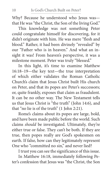Why? Because he understood who Jesus was that He was "the Christ, the Son of the living God."

This knowledge was not something Peter could congratulate himself for discovering, for it didn't originate with him. He was mere "flesh and blood." Rather, it had been divinely "revealed" by our "Father who is in heaven." And what an insight it was! From heaven's perspective, it was a milestone moment. Peter was truly "blessed."

In this light, it's time to examine Matthew 16:18–19—the key text—the true interpretation of which either validates the Roman Catholic Church's claim that Jesus Christ built His church on Peter, and that its popes are Peter's successors; or, quite frankly, exposes that claim as fraudulent. It can be no other way. The New Testament tells us that Jesus Christ is "the truth" (John 14:6), and that "no lie is of the truth" (1 John 2:21).

Rome's claims about its popes are large, bold, and have been made public before the world. Such claims *should* be investigated. Ultimately, they're either true or false. They can't be both. If they are true, then popes really are God's spokesmen on earth. If false, how can they legitimately represent One who "committed no sin," and never lied?

I trust you can see the significance of this issue.

In Matthew 16:18, immediately following Peter's confession that Jesus was "the Christ, the Son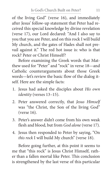of the living God" (verse 16), and immediately after Jesus' follow-up statement that Peter had received this special knowledge by divine revelation (verse 17), our Lord declared: "And I also say to you that you are Peter, and on this rock I will build My church, and the gates of Hades shall not prevail against it." The red hot issue is: who is that rock? Peter or Christ Himself?

Before examining the Greek words that Matthew used for "Peter" and "rock" in verse 18—and Catholic counterarguments about those Greek words—let's review the basic flow of the dialog itself. Here are the simple facts:

- 1. Jesus had asked the disciples about *His own identity* (verses 13–15).
- 2. Peter answered correctly, that *Jesus Himself* was "the Christ, the Son of the living God" (verse 16).
- 3. Peter's answer didn't come from his own weak flesh and blood, but from *God alone* (verse 17).
- 4. Jesus then responded to Peter by saying, "On *this rock* I will build My church" (verse 18).

Before going further, at this point it seems to me that "this rock" is Jesus Christ Himself*,* rather than a fallen mortal like Peter. This conclusion is strengthened by the last verse of this particular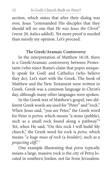section, which states that after their dialog was over, Jesus "commanded His disciples that they should tell no one that *He was Jesus the Christ*" (verse 20, italics added). Yet more proof is needed than merely my opinion. Let's proceed.

#### **The Greek/Aramaic Controversy**

In the interpretation of Matthew 16:18, there is a Greek/Aramaic controversy between Protestants (who reject Rome's claim that popes uniquely speak for God) and Catholics (who believe they do). Let's start with the Greek. The book of Matthew and the New Testament were written in Greek. Greek was a common language in Christ's day, although many other languages were spoken.

In the Greek text of Matthew's gospel, two different Greek words are used for "Peter" and "rock." When Jesus said, "you are Peter," the Greek word for Peter is *petros,* which means "a stone (pebble), such as a small rock found along a pathway."6 Yet, when He said, "On this rock I will build My church," the Greek word for rock is *petra,* which means "*a huge mass of rock* (a *boulder*), such as a *projecting cliff*." <sup>7</sup>

One example illustrating that *petra* typically means a large, massive rock is the city of Petra located in southern Jordan, not far from Jerusalem.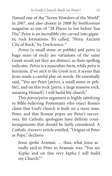Named one of the "Seven Wonders of the World" in 2007, and also chosen in 2008 by *Smithsonian*  magazine as one of "28 Places to See before You Die," Petra is an incredible city carved into gigantic rock formations. It's called, "Petra: Ancient City of Rock," by LiveScience. <sup>8</sup>

*Petros* (a small stone or pebble) and *petra* (a huge mass of rock) are variations of the same Greek word, yet they are distinct, as their spelling indicates. *Petros* is a masculine form, while *petra* is feminine. *If we stick to the Greek text,* it seems that Jesus made a careful play on words. He essentially said, "You are Peter [*petros,* a small stone or pebble], and on this rock [*petra,* a large massive rock, meaning Himself] I will build My church."

This *petros/petra* argument is highly satisfying to Bible-believing Protestants who reject Rome's claim that God's church is built on a mere man, Peter, and that Roman popes are Peter's successors. Yet Catholic apologists have definite counterarguments that should be fairly considered. A *Catholic Answers* article entitled, "Origins of Peter as Pope," declares:

Jesus spoke Aramaic … thus, what Jesus actually said to Peter in Aramaic was: "You are *Kepha* and on this very *kepha* I will build my Church." <sup>9</sup>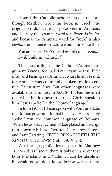Essentially, Catholic scholars argue that although Matthew wrote his book in Greek, the original words that Jesus spoke were in Aramaic, and because the Aramaic word for "Peter" is *kepha,* and because the Aramaic word for "rock" is also *kepha,* the sentence structure would look like this:

You are Peter [*kepha*], and on this rock [*kepha*] I will build my Church.10

Thus, according to the Catholic/Aramaic argument, *Peter is the rock.* Let's examine this. First of all, did Jesus speak Aramaic? Most likely He did, for Aramaic was commonly spoken by first-century Palestinian Jews. But other languages were available to Him, too. In Acts 26:14, Paul testified that when he first heard the risen Christ speak to him, Jesus spoke "in the Hebrew language."

In John 19:1–11, Jesus spoke with Pontius Pilate, the Roman governor. In that instance, He probably spoke Latin, the common language of Romans. When Jesus was crucified, Pilate placed an inscription above His head, "written in Hebrew, Greek, and Latin," stating, "JESUS OF NAZARETH, THE KING OF THE JEWS" (John 19:19–20).

What language did Jesus speak in Matthew 16:13–20? As I see it, there is only one answer that both Protestants and Catholics can be absolutely certain of: we don't know, for we weren't there.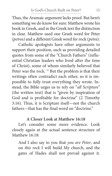Thus, the Aramaic argument lacks proof. But here's something we do know for sure: Matthew wrote his book in Greek, and in the Greek text the distinction in clear. Matthew used one Greek word for Peter *(petros)* and a different Greek word for rock (*petra*).

Catholic apologists have other arguments to support their position, such as providing detailed quotes from some of the "Church Fathers" (influential Christian leaders who lived after the time of Christ), some of whom similarly believed that Peter was the rock.<sup>11</sup> But the problem is that their writings often contradict each other, so it is impossible to fully trust everything they wrote. Instead, the Bible urges us to rely on "*all Scripture"* (the written text) that is "given by inspiration of God and is profitable for doctrine" (2 Timothy 3:16). Thus, it is Scripture itself—not the church fathers—that has the final word on "doctrine."

## **A Closer Look at Matthew 16:18**

Let's consider some more evidence. Look closely again at the actual sentence structure of Matthew 16:18:

And I also say to you that *you are Peter*, and on *this rock* I will build My church, and the gates of Hades shall not prevail against it.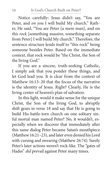Notice carefully: Jesus didn't say, "You are Peter, and *on you* I will build My church." Rather, He said, "You are Peter [a mere man], and on *this rock* [something massive, something separate from Peter] I will build My church." Therefore, the sentence structure lends itself to "this rock" being someone besides Peter. Based on the immediate context, that rock would be "the Christ, the Son of the living God."

If you are a sincere, truth-seeking Catholic, I simply ask that you ponder these things, and let God lead you. It is clear from the context of Matthew 16:13–20 that the focus of the narrative is the identity of Jesus. Right? Clearly, He is the living center of heaven's plan of salvation.

In this light, would it make sense for the unique Christ, the Son of the living God, to abruptly shift gears in verse 18 and say that He is going to build His battle-torn church on one solitary sinful mortal man named Peter? No, it wouldn't, especially when we discover that immediately after this same dialog Peter became Satan's mouthpiece (Matthew 16:21–23), and later even denied his Lord with cursing and swearing (Matthew 26:74). Surely Peter's later actions weren't rock-like. The "gates of Hades" *did* prevail against Peter many times.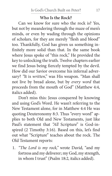## **Who Is the Rock?**

Can we know for sure who the rock is? Yes, but not by meandering through the maze of men's minds, or even by wading through the opinions of scholars, for they are merely "flesh and blood" too. Thankfully, God has given us something infinitely more solid than that. In the same book where Jesus spoke of "this rock," He provided the key to unlocking the truth. Twelve chapters earlier we find Jesus being fiercely tempted by the devil. How did our Savior overcome his infernal adversary? *"*It is *written*," was His weapon. "Man shall not live by bread alone, but by *every word* that proceeds from the mouth of God" (Matthew 4:4, italics added).

Don't miss this: Jesus conquered by knowing and using God's Word. He wasn't referring to the New Testament alone, for in Matthew 4:4 He was quoting Deuteronomy 8:3. Thus "every word" applies to both Old and New Testaments, just like Paul's statement that "All Scripture" is God-inspired (2 Timothy 3:16). Based on this, let's find out what "Scripture" teaches about the rock. The Old Testament reports:

1. *"The Lord is my rock,"* wrote David, "and my fortress and my deliverer; my God, my strength, in whom I trust" (Psalm 18:2, italics added).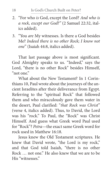- 2. "For who *is* God, except the Lord? *And who is a rock, except our God?"* (2 Samuel 22:32, italics added).
- 3. "You *are* My witnesses. Is there a God besides Me? *Indeed there is no other Rock; I know not one*" (Isaiah 44:8, italics added).

That last passage above is most significant. God Almighty speaks to us. "Indeed," says the Lord, "there is no other Rock" besides Himself, "not one"

What about the New Testament? In 1 Corinthians 10, Paul wrote about the journeys of the ancient Israelites after their deliverance from Egypt. Referring to the "spiritual Rock" that followed them and who miraculously gave them water in the desert, Paul clarified: "*that Rock was Christ*" (verse 4, italics added). Thus, to David, the Lord was his "rock." To Paul, the "Rock" was Christ Himself*.* And guess what Greek word Paul used for "Rock"? *Petra*—the exact same Greek word for rock used in Matthew 16:18.

Jesus knew the Old Testament scriptures. He knew that David wrote, "the Lord is my rock," and that God told Isaiah, "there is no other Rock … not one." He also knew that we are to be His "witnesses."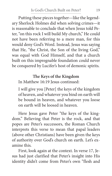Putting these pieces together—like the legendary Sherlock Holmes did when solving crimes—it is reasonable to conclude that when Jesus told Peter, "on this rock I will build My church," He could not have been referring to a mere man, for this would deny God's Word. Instead, Jesus was saying that He, "the Christ, the Son of the living God," was equal with God Himself, and that a church built on this impregnable foundation could never be conquered by Lucifer's host of demonic spirits.

## **The Keys of the Kingdom**

In Matthew 16:19 Jesus continued:

I will give you [Peter] the keys of the kingdom of heaven, and whatever you bind on earth will be bound in heaven, and whatever you loose on earth will be loosed in heaven.

Here Jesus gave Peter "the keys of the kingdom." Believing that Peter is the rock, and that popes are Peter's successors, the Roman Church interprets this verse to mean that papal leaders (above other Christians) have been given the keys of authority over God's church on earth. Let's examine this.

First, look again at the context. In verse 17, Jesus had just clarified that Peter's insight into His identity didn't come from Peter's own "flesh and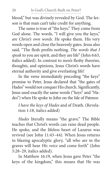blood," but was divinely revealed by God. The lesson is that man can't take credit for anything.

The same is true of "the keys." They come from God alone. The words, "I will give you the keys," *are Christ's own words*. He spoke them. His very words open and close the heavenly gates. Jesus also said, "The flesh profits nothing. *The words that I speak* to you are spirit, and they are life" (John 6:63, italics added). In contrast to men's fleshy theories, thoughts, and opinions, Jesus Christ's words have eternal authority and give everlasting life!

In the verse immediately preceding "the keys" promise to Peter, Jesus declared that "the gates of Hades" would not conquer His church. Significantly, Jesus used exactly the same words ("keys" and "Hades") when He spoke to John on the Isle of Patmos:

*I have the keys of Hades* and of Death. (Revelation 1:18, italics added)

*Hades* literally means "the grave." The Bible teaches that Christ's words can raise dead people. He spoke, and the lifeless heart of Lazarus was revived (see John 11:43–44). When Jesus returns in blazing apocalyptic glory, "all who are in the graves will hear *His voice* and come forth" (John 5:28–29, italics added).

In Matthew 16:19, when Jesus gave Peter "the keys of the kingdom," this means that He was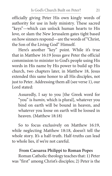officially giving Peter His own kingly words of authority for use in holy ministry. These sacred "keys"—which can unlock human hearts to His love, or slam the New Jerusalem gates tight based on how sinners respond—are the words of "Christ, the Son of the Living God" Himself.

Here's another "key" point. While it's true that in Matthew 16:19 Jesus gave Peter the official commission to minister to God's people using His words in His name by His power to build up His church, two chapters later, in Matthew 18, Jesus extended this same honor to all His disciples, not just to Peter*.* Addressing them all (see verse 1), our Lord stated:

Assuredly, I say to you [the Greek word for "you" is *humin,* which is plural], whatever you bind on earth will be bound in heaven, and whatever you loose on earth will be loosed in heaven. (Matthew 18:18)

So to focus exclusively on Matthew 16:19, while neglecting Matthew 18:18, doesn't tell the whole story. It's a half-truth. Half-truths can lead to whole lies, if we're not careful.

#### **From Caesarea Philippi to Roman Popes**

Roman Catholic theology teaches that: 1) Peter was "first" among Christ's disciples; 2) Peter is the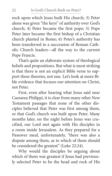rock upon which Jesus built His church; 3) Peter alone was given "the keys" of authority over God's church; 4) Peter became the first pope; 5) Pope Peter later became the first bishop of a Christian church planted in Rome; 6) Peter's authority has been transferred to a succession of Roman Catholic Church leaders—all the way to the current Pope Francis.

That's quite an elaborate system of theological beliefs and propositions. But what is most striking is that there is not an explicit Bible verse to support these theories, not one*.* Let's look at more Bible evidence that focuses our attention on Christ, not Peter.

First, even after hearing what Jesus said near Caesarea Philippi, it is clear from many other New Testament passages that none of the other disciples believed that Peter was first among them, or that God's church was built upon Peter. Many months later, on the night before Jesus was crucified, our Lord met again with His disciples in a room inside Jerusalem. As they prepared for a Passover meal, unfortunately, "there was also a dispute among them, as to which of them should be considered the greatest" (Luke 22:24).

Why would the disciples be arguing about which of them was greatest if Jesus had previously selected Peter to be the head and rock of His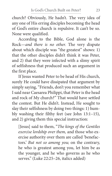church? Obviously, He hadn't. The very idea of any one of His erring disciples becoming the head of God's entire church is repulsive. It can't be so. None were qualified.

According to the Bible, God alone is the Rock—*and there is no other.* The very dispute about which disciple was "the greatest" shows: 1) that the other disciples didn't think it was Peter, and 2) that they were infected with a slimy spirit of selfishness that produced such an argument in the first place.

If Jesus wanted Peter to be head of His church, surely He could have dissipated that argument by simply saying, "Friends, don't you remember what I said near Caesarea Philippi, that Peter is the head and rock of My church?" That would have settled the contest. But He didn't. Instead, He sought to slay their selfishness by doing two things: 1) humbly washing their filthy feet (see John 13:1–15), and 2) giving them this special instruction:

[Jesus] said to them, "*The kings of the Gentiles exercise lordship over them,* and those who exercise authority over them are called 'benefactors.' *But not so among you;* on the contrary, he who is greatest among you, let him be as the younger, and he who governs as he who serves." (Luke 22:25–26, italics added)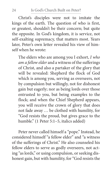Christ's disciples were not to imitate the kings of the earth. The question of who is first, or greatest, shouldn't be their concern; but quite the opposite. In God's kingdom, it is service, not self-exalting supremacy, that matters most. Years later, Peter's own letter revealed his view of himself when he wrote:

The elders who are among you I exhort, *I who am a fellow elder* and a witness of the sufferings of Christ, and also a partaker of the glory that will be revealed: Shepherd the flock of God which is among you, serving as overseers, not by compulsion but willingly, not for dishonest gain but eagerly; nor as being lords over those entrusted to you, but being examples to the flock; and when the Chief Shepherd appears, you will receive the crown of glory that does not fade away … be clothed with humility, for "God resists the proud, but gives grace to the humble." (1 Peter 5:1–5, italics added)

Peter never called himself a "pope." Instead, he considered himself "a fellow elder" and "a witness of the sufferings of Christ." He also counseled his fellow elders to serve as godly overseers, not acting "as lords," or using compulsion, or seeking dishonest gain, but with humility, for "God resists the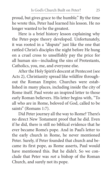proud, but gives grace to the humble." By the time he wrote this, Peter had learned his lesson. He no longer wanted to be the greatest.

Here is a brief history lesson explaining why the Peter-pope theory developed. Unfortunately, it was rooted in a "dispute" just like the one that rattled Christ's disciples the night before He hung on a cruel cross to unselfishly pay the price for all human sin—including the sins of Protestants, Catholics, you, me, and everyone else.

After the Holy Spirit's descent at Pentecost (see Acts 2), Christianity spread like wildfire throughout the Roman Empire. Churches were established in many places, including inside the city of Rome itself. Paul wrote an inspired letter to those early Roman believers. His letter begins with, "To all who are in Rome, beloved of God, called to be saints" (Romans 1:7).

Did Peter journey all the way to Rome? There's no direct New Testament proof that he did. Even if he did, there is still no biblical evidence that he ever became Rome's pope. And in Paul's letter to the early church in Rome, he never mentioned Peter. Surely, if Peter founded that church and became its first pope, as Rome asserts, Paul would have mentioned this. But he didn't. So we conclude that Peter was *not* a bishop of the Roman Church, and surely not its pope.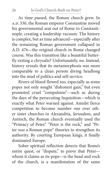As time passed, the Roman church grew. In A.D. 330, the Roman emperor Constantine moved his governmental seat out of Rome to Constantinople, creating a leadership vacuum. The history is complex, but as time advanced—especially after the remaining Roman government collapsed in A.D. 476—the original church in Rome changed course. Was this transition like a beautiful butterfly exiting a chrysalis? Unfortunately, no. Instead, history reveals that its metamorphosis was more comparable to a clean person diving headlong into the mud of politics and self-service.

Rivers of blood flowed too, especially as some popes not only sought "dishonest gain," but even promoted cruel "compulsion"—such as during the days of the persecuting Inquisition—which is exactly what Peter warned against. Amidst fierce competition to become number one over other sister churches in Alexandria, Jerusalem, and Antioch, the Roman church eventually used the "Primacy of Peter," "Peter is the rock," and "Peter was a Roman pope" theories to strengthen its authority. By courting European kings, it finally dominated Europe.

Sober spiritual reflection detects that Rome's entire quest, or "dispute," to prove that Peter whom it claims as its pope—is the head and rock of the church, is a manifestation of the same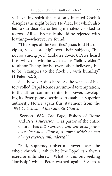self-exalting spirit that not only infected Christ's disciples the night before He died, but which also led to our dear Savior being mercilessly spiked to a cross*.* All selfish pride should be rejected with loathing—wherever it's found.

"The kings of the Gentiles," Jesus told His disciples, seek "lordship" over their subjects, "but not so among you" (Luke 22:25–26). Peter heard this, which is why he warned his "fellow elders" to abhor "being lords" over other believers, but to be "examples to the flock … with humility" (1 Peter 5:2, 5).

Self, however, dies hard. As the wheels of history rolled, Papal Rome succumbed to temptation, to the all-too-common thirst for power, developing its Peter-pope doctrines to establish superior authority. Notice again this statement from the 1994 *Catechism of the Catholic Church*:

[Section] **882.** *The Pope,* Bishop of Rome and *Peter's successor* … as pastor of the entire Church has *full, supreme, and universal power over the whole Church, a power which he can always exercise unhindered*." 12

"Full, supreme, universal power over the whole church … which he [the Pope] can always exercise unhindered"! What is this but seeking "lordship" which Peter warned against? Such a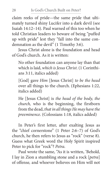claim reeks of pride—the same pride that ultimately turned shiny Lucifer into a dark devil (see Isaiah 14:12–14). Paul warned of this too when he told Christian leaders to beware of being "puffed up with pride" lest they "fall into the same condemnation as the devil" (1 Timothy 3:6).

Jesus Christ alone is the foundation and head of God's church. As it is written:

No other foundation can anyone lay than that which is laid, *which is Jesus Christ*. (1 Corinthians 3:11, italics added)

[God] gave *Him* [Jesus Christ] *to be the head* over all things to the church. (Ephesians 1:22, italics added)

He [Jesus Christ] is *the head of the body, the church,* who is the beginning, the firstborn from the dead, *that in all things He may have the preeminence*. (Colossians 1:18, italics added)

In Peter's first letter, after exalting Jesus as the "chief cornerstone" (1 Peter 2:6–7) of God's church, he then refers to Jesus as "rock" (verse 8). Guess what Greek word the Holy Spirit inspired Peter to pick for "rock"? *Petra.*

Paul wrote the same, "As it is written, 'Behold, I lay in Zion a stumbling stone and a rock [*petra*] of offense*,* and whoever believes on Him will not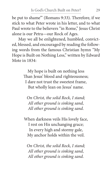be put to shame'" (Romans 9:33). Therefore, if we stick to what Peter wrote in his letter, and to what Paul wrote to the believers "in Rome," Jesus Christ alone is our Petra—our Rock of Ages.

May we all be enlightened, humbled, convicted, blessed, and encouraged by reading the following words from the famous Christian hymn "My Hope is Built on Nothing Less," written by Edward Mote in 1834:

> My hope is built on nothing less Than Jesus' blood and righteousness; I dare not trust the sweetest frame, But wholly lean on Jesus' name.

*On Christ, the solid Rock, I stand; All other ground is sinking sand, All other ground is sinking sand.*

When darkness veils His lovely face, I rest on His unchanging grace; In every high and stormy gale, My anchor holds within the veil.

*On Christ, the solid Rock, I stand; All other ground is sinking sand, All other ground is sinking sand.*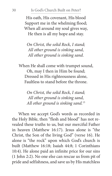His oath, His covenant, His blood Support me in the whelming flood; When all around my soul gives way, He then is all my hope and stay.

*On Christ, the solid Rock, I stand; All other ground is sinking sand, All other ground is sinking sand.*

When He shall come with trumpet sound, Oh, may I then in Him be found; Dressed in His righteousness alone, Faultless to stand before the throne.

> *On Christ, the solid Rock, I stand; All other ground is sinking sand, All other ground is sinking sand.*<sup>13</sup>

When we accept God's words as recorded in the Holy Bible, then "flesh and blood" has not revealed these truths to us, but our merciful Father in heaven (Matthew 16:17). Jesus alone is "the Christ, the Son of the living God" (verse 16). He alone is "the rock" upon which God's church is built (Matthew 16:18; Isaiah 44:8; 1 Corinthians 10:4). He alone paid an infinite price for our sins (1 John 2:2). No one else can rescue us from pit of pride and selfishness, and save us by His matchless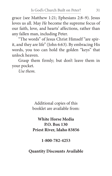grace (see Matthew 1:21; Ephesians 2:8–9). Jesus loves us all. May *He* become the supreme focus of our faith, love, and hearts' affections, rather than any fallen man, including Peter.

"The words" of Jesus Christ Himself "are spirit, and they are life" (John 6:63). By embracing His words, you too can hold the golden "keys" that unlock heaven.

Grasp them firmly; but don't leave them in your pocket.

*Use them.*

Additional copies of this booklet are available from:

**White Horse Media P.O. Box 130 Priest River, Idaho 83856**

**1-800-782-4253** 

**Quantity Discounts Available**